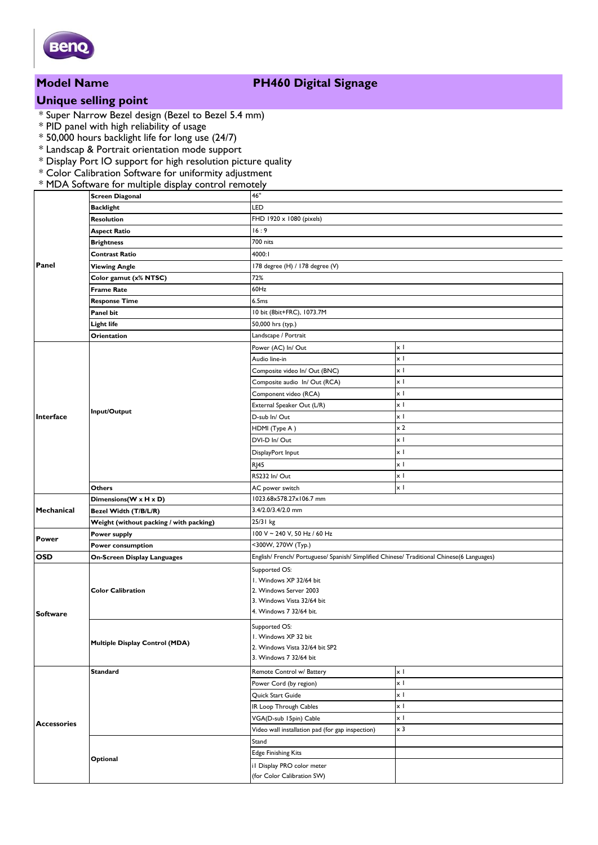

## **Model Name PH460 Digital Signage**

# **Unique selling point**

- \* Super Narrow Bezel design (Bezel to Bezel 5.4 mm)
- \* PID panel with high reliability of usage
- \* 50,000 hours backlight life for long use (24/7)
- \* Landscap & Portrait orientation mode support
- \* Display Port IO support for high resolution picture quality
- \* Color Calibration Software for uniformity adjustment
- \* MDA Software for multiple display control remotely

| Panel                                   | <b>Screen Diagonal</b>                  | 46"                                                                                        |                    |  |
|-----------------------------------------|-----------------------------------------|--------------------------------------------------------------------------------------------|--------------------|--|
|                                         | <b>Backlight</b>                        | LED                                                                                        |                    |  |
|                                         | Resolution                              | FHD 1920 x 1080 (pixels)                                                                   |                    |  |
|                                         | <b>Aspect Ratio</b>                     | 16:9                                                                                       |                    |  |
|                                         | <b>Brightness</b>                       | 700 nits                                                                                   |                    |  |
|                                         | Contrast Ratio                          | 4000:I                                                                                     |                    |  |
|                                         | <b>Viewing Angle</b>                    | 178 degree (H) / 178 degree (V)                                                            |                    |  |
|                                         | Color gamut (x% NTSC)                   | 72%                                                                                        |                    |  |
|                                         | <b>Frame Rate</b>                       | 60Hz                                                                                       |                    |  |
|                                         | <b>Response Time</b>                    | 6.5ms                                                                                      |                    |  |
|                                         | Panel bit                               | 10 bit (8bit+FRC), 1073.7M                                                                 |                    |  |
|                                         | Light life                              | 50,000 hrs (typ.)                                                                          |                    |  |
|                                         | Orientation                             | Landscape / Portrait                                                                       |                    |  |
| Interface<br>Mechanical<br><b>Power</b> | Input/Output                            | Power (AC) In/ Out                                                                         | x I                |  |
|                                         |                                         | Audio line-in                                                                              | χI                 |  |
|                                         |                                         | Composite video In/ Out (BNC)                                                              | хI                 |  |
|                                         |                                         | Composite audio In/ Out (RCA)                                                              | $\times$ 1         |  |
|                                         |                                         | Component video (RCA)                                                                      | χI                 |  |
|                                         |                                         | External Speaker Out (L/R)                                                                 | хI                 |  |
|                                         |                                         | D-sub In/Out                                                                               | xΙ                 |  |
|                                         |                                         | HDMI (Type A)                                                                              | $\times 2$         |  |
|                                         |                                         | DVI-D In/Out                                                                               | xΙ                 |  |
|                                         |                                         | DisplayPort Input                                                                          | xΙ                 |  |
|                                         |                                         | <b>RJ45</b>                                                                                | xΙ                 |  |
|                                         |                                         | RS232 In/Out                                                                               | χI                 |  |
|                                         | <b>Others</b>                           | AC power switch                                                                            | x I                |  |
|                                         | Dimensions(W x H x D)                   | 1023.68x578.27x106.7 mm                                                                    |                    |  |
|                                         | Bezel Width (T/B/L/R)                   |                                                                                            | 3.4/2.0/3.4/2.0 mm |  |
|                                         | Weight (without packing / with packing) | 25/31 kg                                                                                   |                    |  |
|                                         | Power supply                            | 100 V ~ 240 V, 50 Hz / 60 Hz                                                               |                    |  |
|                                         | Power consumption                       | <300W, 270W (Typ.)                                                                         |                    |  |
| <b>OSD</b>                              | <b>On-Screen Display Languages</b>      | English/ French/ Portuguese/ Spanish/ Simplified Chinese/ Traditional Chinese(6 Languages) |                    |  |
| <b>Software</b>                         |                                         |                                                                                            |                    |  |
|                                         | <b>Color Calibration</b>                | Supported OS:<br>I. Windows XP 32/64 bit                                                   |                    |  |
|                                         |                                         | 2. Windows Server 2003                                                                     |                    |  |
|                                         |                                         | 3. Windows Vista 32/64 bit                                                                 |                    |  |
|                                         |                                         | 4. Windows 7 32/64 bit.                                                                    |                    |  |
|                                         |                                         | Supported OS:                                                                              |                    |  |
|                                         | Multiple Display Control (MDA)          | I. Windows XP 32 bit                                                                       |                    |  |
|                                         |                                         | 2. Windows Vista 32/64 bit SP2                                                             |                    |  |
|                                         |                                         | 3. Windows 7 32/64 bit                                                                     |                    |  |
| <b>Accessories</b>                      | <b>Standard</b>                         | Remote Control w/ Battery                                                                  | $\times$ 1         |  |
|                                         |                                         | Power Cord (by region)                                                                     | x I                |  |
|                                         |                                         | Quick Start Guide                                                                          | $\times$ 1         |  |
|                                         |                                         | IR Loop Through Cables                                                                     | x I                |  |
|                                         |                                         | VGA(D-sub 15pin) Cable                                                                     | x I                |  |
|                                         |                                         | Video wall installation pad (for gap inspection)                                           | $\times 3$         |  |
|                                         |                                         | Stand                                                                                      |                    |  |
|                                         | Optional                                | <b>Edge Finishing Kits</b>                                                                 |                    |  |
|                                         |                                         | il Display PRO color meter                                                                 |                    |  |
|                                         |                                         | (for Color Calibration SW)                                                                 |                    |  |
|                                         |                                         |                                                                                            |                    |  |